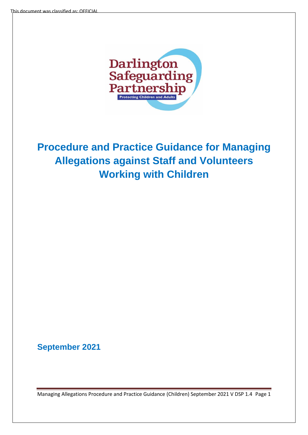

# **Procedure and Practice Guidance for Managing Allegations against Staff and Volunteers Working with Children**

**September 2021**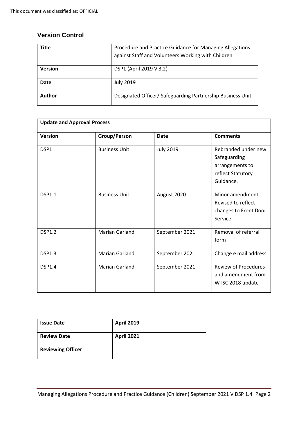# **Version Control**

| Title          | Procedure and Practice Guidance for Managing Allegations<br>against Staff and Volunteers Working with Children |
|----------------|----------------------------------------------------------------------------------------------------------------|
| <b>Version</b> | DSP1 (April 2019 V 3.2)                                                                                        |
| Date           | <b>July 2019</b>                                                                                               |
| Author         | Designated Officer/ Safeguarding Partnership Business Unit                                                     |

| <b>Update and Approval Process</b> |                       |                  |                                                                                          |  |  |
|------------------------------------|-----------------------|------------------|------------------------------------------------------------------------------------------|--|--|
| <b>Version</b>                     | Group/Person          | <b>Date</b>      | <b>Comments</b>                                                                          |  |  |
| DSP1                               | <b>Business Unit</b>  | <b>July 2019</b> | Rebranded under new<br>Safeguarding<br>arrangements to<br>reflect Statutory<br>Guidance. |  |  |
| <b>DSP1.1</b>                      | <b>Business Unit</b>  | August 2020      | Minor amendment.<br>Revised to reflect<br>changes to Front Door<br>Service               |  |  |
| <b>DSP1.2</b>                      | <b>Marian Garland</b> | September 2021   | Removal of referral<br>form                                                              |  |  |
| <b>DSP1.3</b>                      | <b>Marian Garland</b> | September 2021   | Change e mail address                                                                    |  |  |
| <b>DSP1.4</b>                      | <b>Marian Garland</b> | September 2021   | <b>Review of Procedures</b><br>and amendment from<br>WTSC 2018 update                    |  |  |

| <b>Issue Date</b>        | <b>April 2019</b> |
|--------------------------|-------------------|
| <b>Review Date</b>       | <b>April 2021</b> |
| <b>Reviewing Officer</b> |                   |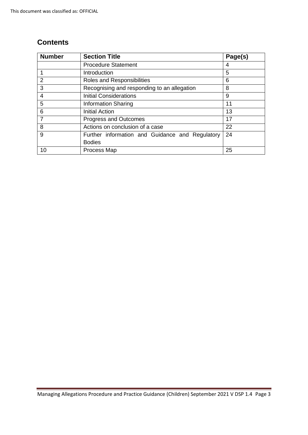# **Contents**

| <b>Number</b>  | <b>Section Title</b>                            | Page(s) |
|----------------|-------------------------------------------------|---------|
|                | <b>Procedure Statement</b>                      | 4       |
|                | Introduction                                    | 5       |
| 2              | Roles and Responsibilities                      | 6       |
| 3              | Recognising and responding to an allegation     | 8       |
| $\overline{4}$ | <b>Initial Considerations</b>                   | 9       |
| 5              | <b>Information Sharing</b>                      | 11      |
| 6              | <b>Initial Action</b>                           | 13      |
| $\overline{7}$ | Progress and Outcomes                           | 17      |
| 8              | Actions on conclusion of a case                 | 22      |
| 9              | Further information and Guidance and Regulatory | 24      |
|                | <b>Bodies</b>                                   |         |
| 10             | Process Map                                     | 25      |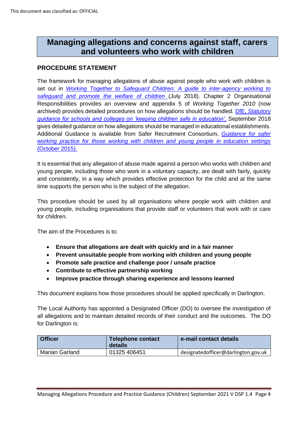# **Managing allegations and concerns against staff, carers and volunteers who work with children**

# **PROCEDURE STATEMENT**

The framework for managing allegations of abuse against people who work with children is set out in *[Working Together to Safeguard Children: A guide to inter-agency working to](https://assets.publishing.service.gov.uk/government/uploads/system/uploads/attachment_data/file/779401/Working_Together_to_Safeguard-Children.pdf)  [safeguard and promote the welfare of children](https://assets.publishing.service.gov.uk/government/uploads/system/uploads/attachment_data/file/779401/Working_Together_to_Safeguard-Children.pdf)* (July 2018). Chapter 2 Organisational Responsibilities provides an overview and appendix 5 of *Working Together 2010* (now archived) provides detailed procedures on how allegations should be handled. DfE, *[Statutory](https://www.gov.uk/government/publications/keeping-children-safe-in-education--2)  [guidance for schools and colleges on 'keeping children safe in](https://www.gov.uk/government/publications/keeping-children-safe-in-education--2) education'*, September 2018 gives detailed guidance on how allegations should be managed in educational establishments. Additional Guidance is available from Safer Recruitment Consortium, *[Guidance for safer](https://www.safeguardinginschools.co.uk/wp-content/uploads/2015/10/Guidance-for-Safer-Working-Practices-2015-final1.pdf)  [working practice for those working with children and young people in education settings](https://www.safeguardinginschools.co.uk/wp-content/uploads/2015/10/Guidance-for-Safer-Working-Practices-2015-final1.pdf)*  [\(October 2015\).](https://www.safeguardinginschools.co.uk/wp-content/uploads/2015/10/Guidance-for-Safer-Working-Practices-2015-final1.pdf)

It is essential that any allegation of abuse made against a person who works with children and young people, including those who work in a voluntary capacity, are dealt with fairly, quickly and consistently, in a way which provides effective protection for the child and at the same time supports the person who is the subject of the allegation.

This procedure should be used by all organisations where people work with children and young people, including organisations that provide staff or volunteers that work with or care for children.

The aim of the Procedures is to:

- **Ensure that allegations are dealt with quickly and in a fair manner**
- **Prevent unsuitable people from working with children and young people**
- **Promote safe practice and challenge poor / unsafe practice**
- **Contribute to effective partnership working**
- **Improve practice through sharing experience and lessons learned**

This document explains how those procedures should be applied specifically in Darlington.

The Local Authority has appointed a Designated Officer (DO) to oversee the investigation of all allegations and to maintain detailed records of their conduct and the outcomes. The DO for Darlington is:

| <b>Officer</b> | Telephone contact<br>details | e-mail contact details              |
|----------------|------------------------------|-------------------------------------|
| Marian Garland | 01325 406451                 | designatedofficer@darlington.gov.uk |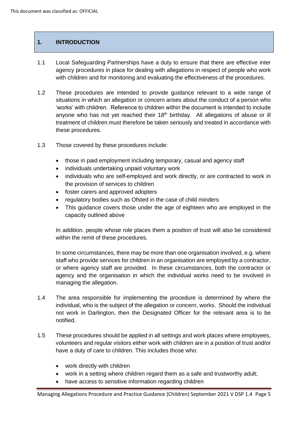#### **1. INTRODUCTION**

- 1.1 Local Safeguarding Partnerships have a duty to ensure that there are effective inter agency procedures in place for dealing with allegations in respect of people who work with children and for monitoring and evaluating the effectiveness of the procedures.
- 1.2 These procedures are intended to provide guidance relevant to a wide range of situations in which an allegation or concern arises about the conduct of a person who 'works' with children. Reference to children within the document is intended to include anyone who has not yet reached their  $18<sup>th</sup>$  birthday. All allegations of abuse or ill treatment of children must therefore be taken seriously and treated in accordance with these procedures.
- 1.3 Those covered by these procedures include:
	- those in paid employment including temporary, casual and agency staff
	- individuals undertaking unpaid voluntary work
	- individuals who are self-employed and work directly, or are contracted to work in the provision of services to children
	- foster carers and approved adopters
	- regulatory bodies such as Ofsted in the case of child minders
	- This guidance covers those under the age of eighteen who are employed in the capacity outlined above

In addition. people whose role places them a position of trust will also be considered within the remit of these procedures.

In some circumstances, there may be more than one organisation involved, e.g. where staff who provide services for children in an organisation are employed by a contractor, or where agency staff are provided. In these circumstances, both the contractor or agency and the organisation in which the individual works need to be involved in managing the allegation.

- 1.4 The area responsible for implementing the procedure is determined by where the individual, who is the subject of the allegation or concern, works. Should the individual not work in Darlington, then the Designated Officer for the relevant area is to be notified.
- 1.5 These procedures should be applied in all settings and work places where employees, volunteers and regular visitors either work with children are in a position of trust and/or have a duty of care to children. This includes those who:
	- work directly with children
	- work in a setting where children regard them as a safe and trustworthy adult;
	- have access to sensitive information regarding children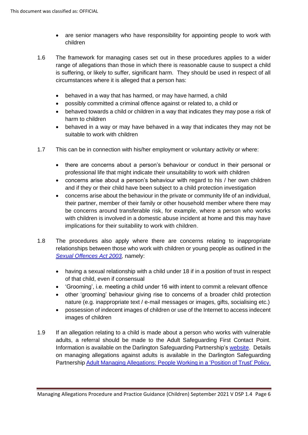- are senior managers who have responsibility for appointing people to work with children
- 1.6 The framework for managing cases set out in these procedures applies to a wider range of allegations than those in which there is reasonable cause to suspect a child is suffering, or likely to suffer, significant harm. They should be used in respect of all circumstances where it is alleged that a person has:
	- behaved in a way that has harmed, or may have harmed, a child
	- possibly committed a criminal offence against or related to, a child or
	- behaved towards a child or children in a way that indicates they may pose a risk of harm to children
	- behaved in a way or may have behaved in a way that indicates they may not be suitable to work with children
- 1.7 This can be in connection with his/her employment or voluntary activity or where:
	- there are concerns about a person's behaviour or conduct in their personal or professional life that might indicate their unsuitability to work with children
	- concerns arise about a person's behaviour with regard to his / her own children and if they or their child have been subject to a child protection investigation
	- concerns arise about the behaviour in the private or community life of an individual, their partner, member of their family or other household member where there may be concerns around transferable risk, for example, where a person who works with children is involved in a domestic abuse incident at home and this may have implications for their suitability to work with children.
- 1.8 The procedures also apply where there are concerns relating to inappropriate relationships between those who work with children or young people as outlined in the *[Sexual Offences Act 2003,](http://www.legislation.gov.uk/ukpga/2003/42/contents)* namely:
	- having a sexual relationship with a child under 18 if in a position of trust in respect of that child, even if consensual
	- 'Grooming', i.e. meeting a child under 16 with intent to commit a relevant offence
	- other 'grooming' behaviour giving rise to concerns of a broader child protection nature (e.g. inappropriate text / e-mail messages or images, gifts, socialising etc.)
	- possession of indecent images of children or use of the Internet to access indecent images of children
- 1.9 If an allegation relating to a child is made about a person who works with vulnerable adults, a referral should be made to the Adult Safeguarding First Contact Point. Information is available on the Darlington Safeguarding Partnership's [website.](https://www.darlington-safeguarding-partnership.co.uk/) Details on managing allegations against adults is available in the Darlington Safeguarding Partnership [Adult Managing Allegations: People Working in a 'Position of Trust' Policy.](https://www.darlington-safeguarding-partnership.co.uk/professionals/managing-allegations/)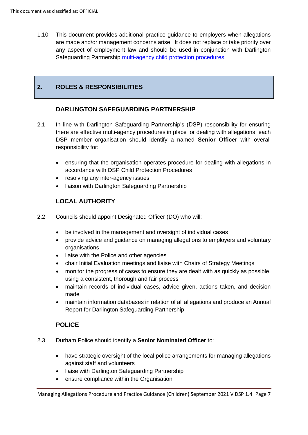1.10 This document provides additional practice guidance to employers when allegations are made and/or management concerns arise. It does not replace or take priority over any aspect of employment law and should be used in conjunction with Darlington Safeguarding Partnership [multi-agency child protection procedures.](https://www.darlington-safeguarding-partnership.co.uk/professionals/multi-agency-safeguarding-child-protection-procedures/)

### **2. ROLES & RESPONSIBILITIES**

#### **DARLINGTON SAFEGUARDING PARTNERSHIP**

- 2.1 In line with Darlington Safeguarding Partnership's (DSP) responsibility for ensuring there are effective multi-agency procedures in place for dealing with allegations, each DSP member organisation should identify a named **Senior Officer** with overall responsibility for:
	- ensuring that the organisation operates procedure for dealing with allegations in accordance with DSP Child Protection Procedures
	- resolving any inter-agency issues
	- liaison with Darlington Safeguarding Partnership

#### **LOCAL AUTHORITY**

- 2.2 Councils should appoint Designated Officer (DO) who will:
	- be involved in the management and oversight of individual cases
	- provide advice and guidance on managing allegations to employers and voluntary organisations
	- liaise with the Police and other agencies
	- chair Initial Evaluation meetings and liaise with Chairs of Strategy Meetings
	- monitor the progress of cases to ensure they are dealt with as quickly as possible. using a consistent, thorough and fair process
	- maintain records of individual cases, advice given, actions taken, and decision made
	- maintain information databases in relation of all allegations and produce an Annual Report for Darlington Safeguarding Partnership

#### **POLICE**

- 2.3 Durham Police should identify a **Senior Nominated Officer** to:
	- have strategic oversight of the local police arrangements for managing allegations against staff and volunteers
	- liaise with Darlington Safeguarding Partnership
	- ensure compliance within the Organisation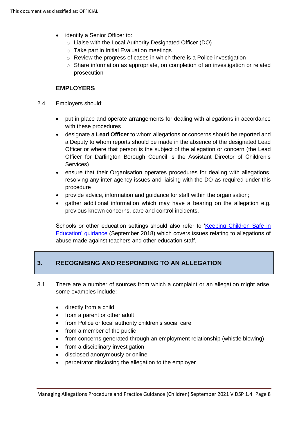- identify a Senior Officer to:
	- o Liaise with the Local Authority Designated Officer (DO)
	- $\circ$  Take part in Initial Evaluation meetings
	- o Review the progress of cases in which there is a Police investigation
	- $\circ$  Share information as appropriate, on completion of an investigation or related prosecution

#### **EMPLOYERS**

- 2.4 Employers should:
	- put in place and operate arrangements for dealing with allegations in accordance with these procedures
	- designate a **Lead Officer** to whom allegations or concerns should be reported and a Deputy to whom reports should be made in the absence of the designated Lead Officer or where that person is the subject of the allegation or concern (the Lead Officer for Darlington Borough Council is the Assistant Director of Children's Services)
	- ensure that their Organisation operates procedures for dealing with allegations, resolving any inter agency issues and liaising with the DO as required under this procedure
	- provide advice, information and guidance for staff within the organisation;
	- gather additional information which may have a bearing on the allegation e.g. previous known concerns, care and control incidents.

Schools or other education settings should also refer to ['Keeping Children Safe in](https://assets.publishing.service.gov.uk/government/uploads/system/uploads/attachment_data/file/835733/Keeping_children_safe_in_education_2019.pdf)  [Education'](https://assets.publishing.service.gov.uk/government/uploads/system/uploads/attachment_data/file/835733/Keeping_children_safe_in_education_2019.pdf) guidance (September 2018) which covers issues relating to allegations of abuse made against teachers and other education staff.

# **3. RECOGNISING AND RESPONDING TO AN ALLEGATION**

- 3.1 There are a number of sources from which a complaint or an allegation might arise, some examples include:
	- directly from a child
	- from a parent or other adult
	- from Police or local authority children's social care
	- from a member of the public
	- from concerns generated through an employment relationship (whistle blowing)
	- from a disciplinary investigation
	- disclosed anonymously or online
	- perpetrator disclosing the allegation to the employer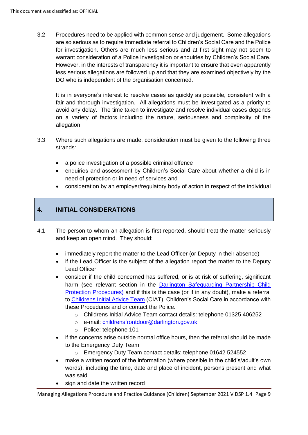3.2 Procedures need to be applied with common sense and judgement. Some allegations are so serious as to require immediate referral to Children's Social Care and the Police for investigation. Others are much less serious and at first sight may not seem to warrant consideration of a Police investigation or enquiries by Children's Social Care. However, in the interests of transparency it is important to ensure that even apparently less serious allegations are followed up and that they are examined objectively by the DO who is independent of the organisation concerned.

It is in everyone's interest to resolve cases as quickly as possible, consistent with a fair and thorough investigation. All allegations must be investigated as a priority to avoid any delay. The time taken to investigate and resolve individual cases depends on a variety of factors including the nature, seriousness and complexity of the allegation.

- 3.3 Where such allegations are made, consideration must be given to the following three strands:
	- a police investigation of a possible criminal offence
	- enquiries and assessment by Children's Social Care about whether a child is in need of protection or in need of services and
	- consideration by an employer/regulatory body of action in respect of the individual

#### **4. INITIAL CONSIDERATIONS**

- 4.1 The person to whom an allegation is first reported, should treat the matter seriously and keep an open mind. They should:
	- immediately report the matter to the Lead Officer (or Deputy in their absence)
	- if the Lead Officer is the subject of the allegation report the matter to the Deputy Lead Officer
	- consider if the child concerned has suffered, or is at risk of suffering, significant harm (see relevant section in the **Darlington Safeguarding Partnership Child** [Protection Procedures\)](https://www.darlington-safeguarding-partnership.co.uk/professionals/multi-agency-safeguarding-child-protection-procedures/) and if this is the case (or if in any doubt), make a referral to [Childrens Initial Advice Team](https://www.darlington-safeguarding-partnership.co.uk/about-us/concerned-about-a-child/) (CIAT), Children's Social Care in accordance with these Procedures and or contact the Police.
		- o Childrens Initial Advice Team contact details: telephone 01325 406252
		- o e-mail: [childrensfrontdoor@darlington.gov.uk](mailto:childrensfrontdoor@darlington.gov.uk)
		- o Police: telephone 101
	- if the concerns arise outside normal office hours, then the referral should be made to the Emergency Duty Team
		- o Emergency Duty Team contact details: telephone 01642 524552
	- make a written record of the information (where possible in the child's/adult's own words), including the time, date and place of incident, persons present and what was said
	- sign and date the written record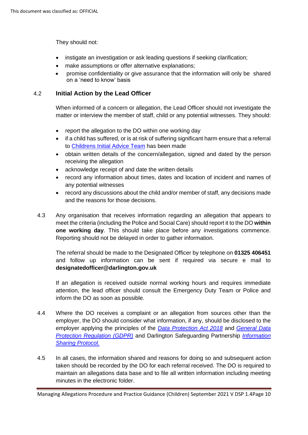They should not:

- instigate an investigation or ask leading questions if seeking clarification;
- make assumptions or offer alternative explanations:
- promise confidentiality or give assurance that the information will only be shared on a 'need to know' basis

#### 4.2 **Initial Action by the Lead Officer**

When informed of a concern or allegation, the Lead Officer should not investigate the matter or interview the member of staff, child or any potential witnesses. They should:

- report the allegation to the DO within one working day
- if a child has suffered, or is at risk of suffering significant harm ensure that a referral to [Childrens Initial Advice Team](https://www.darlington-safeguarding-partnership.co.uk/about-us/concerned-about-a-child/) has been made
- obtain written details of the concern/allegation, signed and dated by the person receiving the allegation
- acknowledge receipt of and date the written details
- record any information about times, dates and location of incident and names of any potential witnesses
- record any discussions about the child and/or member of staff, any decisions made and the reasons for those decisions.
- 4.3 Any organisation that receives information regarding an allegation that appears to meet the criteria (including the Police and Social Care) should report it to the DO **within one working day**. This should take place before any investigations commence. Reporting should not be delayed in order to gather information.

The referral should be made to the Designated Officer by telephone on **01325 406451** and follow up information can be sent if required via secure e mail to **designatedofficer@darlington.gov.uk**

If an allegation is received outside normal working hours and requires immediate attention, the lead officer should consult the Emergency Duty Team or Police and inform the DO as soon as possible.

- 4.4 Where the DO receives a complaint or an allegation from sources other than the employer, the DO should consider what information, if any, should be disclosed to the employer applying the principles of the *[Data Protection Act 2018](http://www.legislation.gov.uk/ukpga/2018/12/contents/enacted)* and *[General Data](https://assets.publishing.service.gov.uk/government/uploads/system/uploads/attachment_data/file/711097/guide-to-the-general-data-protection-regulation-gdpr-1-0.pdf)  [Protection Regulation](https://assets.publishing.service.gov.uk/government/uploads/system/uploads/attachment_data/file/711097/guide-to-the-general-data-protection-regulation-gdpr-1-0.pdf) (GDPR)* and Darlington Safeguarding Partnership *[Information](https://darlington-safeguarding-partnership.co.uk/professionals/multi-agency-safeguarding-child-protection-procedures/)  [Sharing Protocol.](https://darlington-safeguarding-partnership.co.uk/professionals/multi-agency-safeguarding-child-protection-procedures/)*
- 4.5 In all cases, the information shared and reasons for doing so and subsequent action taken should be recorded by the DO for each referral received. The DO is required to maintain an allegations data base and to file all written information including meeting minutes in the electronic folder.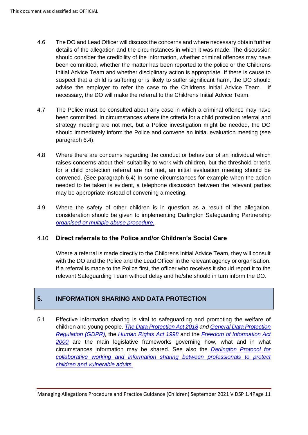- 4.6 The DO and Lead Officer will discuss the concerns and where necessary obtain further details of the allegation and the circumstances in which it was made. The discussion should consider the credibility of the information, whether criminal offences may have been committed, whether the matter has been reported to the police or the Childrens Initial Advice Team and whether disciplinary action is appropriate. If there is cause to suspect that a child is suffering or is likely to suffer significant harm, the DO should advise the employer to refer the case to the Childrens Initial Advice Team. If necessary, the DO will make the referral to the Childrens Initial Advice Team.
- 4.7 The Police must be consulted about any case in which a criminal offence may have been committed. In circumstances where the criteria for a child protection referral and strategy meeting are not met, but a Police investigation might be needed, the DO should immediately inform the Police and convene an initial evaluation meeting (see paragraph 6.4).
- 4.8 Where there are concerns regarding the conduct or behaviour of an individual which raises concerns about their suitability to work with children, but the threshold criteria for a child protection referral are not met, an initial evaluation meeting should be convened. (See paragraph 6.4) In some circumstances for example when the action needed to be taken is evident, a telephone discussion between the relevant parties may be appropriate instead of convening a meeting.
- 4.9 Where the safety of other children is in question as a result of the allegation, consideration should be given to implementing Darlington Safeguarding Partnership *[organised or multiple abuse procedure.](https://www.darlington-safeguarding-partnership.co.uk/professionals/multi-agency-practice-guidance/)*

#### 4.10 **Direct referrals to the Police and/or Children's Social Care**

Where a referral is made directly to the Childrens Initial Advice Team, they will consult with the DO and the Police and the Lead Officer in the relevant agency or organisation. If a referral is made to the Police first, the officer who receives it should report it to the relevant Safeguarding Team without delay and he/she should in turn inform the DO.

# **5. INFORMATION SHARING AND DATA PROTECTION**

5.1 Effective information sharing is vital to safeguarding and promoting the welfare of children and young people. *[The Data Protection Act 2018](http://www.legislation.gov.uk/ukpga/2018/12/contents/enacted) an[d General Data Protection](https://assets.publishing.service.gov.uk/government/uploads/system/uploads/attachment_data/file/711097/guide-to-the-general-data-protection-regulation-gdpr-1-0.pdf)  [Regulation \(GDPR\),](https://assets.publishing.service.gov.uk/government/uploads/system/uploads/attachment_data/file/711097/guide-to-the-general-data-protection-regulation-gdpr-1-0.pdf)* the *[Human Rights Act 1998](https://www.legislation.gov.uk/ukpga/1998/42/contents)* and the *[Freedom of Information Act](https://www.legislation.gov.uk/ukpga/2000/36/contents)  [2000](https://www.legislation.gov.uk/ukpga/2000/36/contents)* are the main legislative frameworks governing how, what and in what circumstances information may be shared. See also the *[Darlington Protocol for](https://www.darlington-safeguarding-partnership.co.uk/professionals/multi-agency-practice-guidance/)  [collaborative working and information sharing between professionals to protect](https://www.darlington-safeguarding-partnership.co.uk/professionals/multi-agency-practice-guidance/)  [children and vulnerable adults.](https://www.darlington-safeguarding-partnership.co.uk/professionals/multi-agency-practice-guidance/)*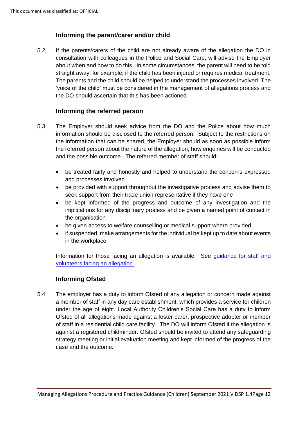# **Informing the parent/carer and/or child**

5.2 If the parents/carers of the child are not already aware of the allegation the DO in consultation with colleagues in the Police and Social Care, will advise the Employer about when and how to do this. In some circumstances, the parent will need to be told straight away; for example, if the child has been injured or requires medical treatment. The parents and the child should be helped to understand the processes involved. The 'voice of the child' must be considered in the management of allegations process and the DO should ascertain that this has been actioned.

#### **Informing the referred person**

- 5.3 The Employer should seek advice from the DO and the Police about how much information should be disclosed to the referred person. Subject to the restrictions on the information that can be shared, the Employer should as soon as possible inform the referred person about the nature of the allegation, how enquiries will be conducted and the possible outcome. The referred member of staff should:
	- be treated fairly and honestly and helped to understand the concerns expressed and processes involved
	- be provided with support throughout the investigative process and advise them to seek support from their trade union representative if they have one
	- be kept informed of the progress and outcome of any investigation and the implications for any disciplinary process and be given a named point of contact in the organisation
	- be given access to welfare counselling or medical support where provided
	- if suspended, make arrangements for the individual be kept up to date about events in the workplace

Information for those facing an allegation is available. See guidance for staff and [volunteers facing an allegation.](https://www.darlington-safeguarding-partnership.co.uk/professionals/managing-allegations/)

#### **Informing Ofsted**

5.4 The employer has a duty to inform Ofsted of any allegation or concern made against a member of staff in any day care establishment, which provides a service for children under the age of eight. Local Authority Children's Social Care has a duty to inform Ofsted of all allegations made against a foster carer, prospective adopter or member of staff in a residential child care facility. The DO will inform Ofsted if the allegation is against a registered childminder. Ofsted should be invited to attend any safeguarding strategy meeting or initial evaluation meeting and kept informed of the progress of the case and the outcome.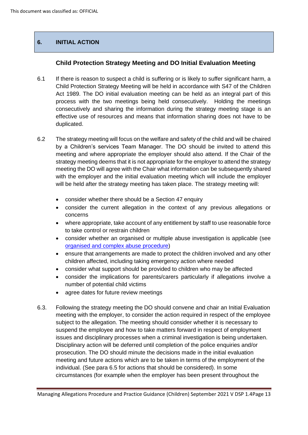# **6. INITIAL ACTION**

#### **Child Protection Strategy Meeting and DO Initial Evaluation Meeting**

- 6.1 If there is reason to suspect a child is suffering or is likely to suffer significant harm, a Child Protection Strategy Meeting will be held in accordance with S47 of the Children Act 1989. The DO initial evaluation meeting can be held as an integral part of this process with the two meetings being held consecutively. Holding the meetings consecutively and sharing the information during the strategy meeting stage is an effective use of resources and means that information sharing does not have to be duplicated.
- 6.2 The strategy meeting will focus on the welfare and safety of the child and will be chaired by a Children's services Team Manager. The DO should be invited to attend this meeting and where appropriate the employer should also attend. If the Chair of the strategy meeting deems that it is not appropriate for the employer to attend the strategy meeting the DO will agree with the Chair what information can be subsequently shared with the employer and the initial evaluation meeting which will include the employer will be held after the strategy meeting has taken place. The strategy meeting will:
	- consider whether there should be a Section 47 enquiry
	- consider the current allegation in the context of any previous allegations or concerns
	- where appropriate, take account of any entitlement by staff to use reasonable force to take control or restrain children
	- consider whether an organised or multiple abuse investigation is applicable (see [organised and complex abuse procedure\)](https://www.darlington-safeguarding-partnership.co.uk/professionals/multi-agency-practice-guidance/)
	- ensure that arrangements are made to protect the children involved and any other children affected, including taking emergency action where needed
	- consider what support should be provided to children who may be affected
	- consider the implications for parents/carers particularly if allegations involve a number of potential child victims
	- agree dates for future review meetings
- 6.3. Following the strategy meeting the DO should convene and chair an Initial Evaluation meeting with the employer, to consider the action required in respect of the employee subject to the allegation. The meeting should consider whether it is necessary to suspend the employee and how to take matters forward in respect of employment issues and disciplinary processes when a criminal investigation is being undertaken. Disciplinary action will be deferred until completion of the police enquiries and/or prosecution. The DO should minute the decisions made in the initial evaluation meeting and future actions which are to be taken in terms of the employment of the individual. (See para 6.5 for actions that should be considered). In some circumstances (for example when the employer has been present throughout the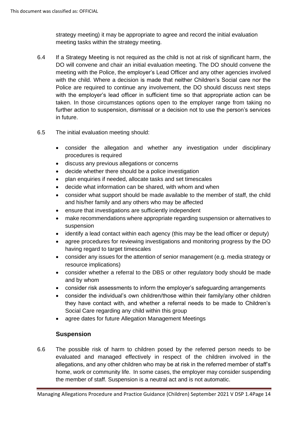strategy meeting) it may be appropriate to agree and record the initial evaluation meeting tasks within the strategy meeting.

- 6.4 If a Strategy Meeting is not required as the child is not at risk of significant harm, the DO will convene and chair an initial evaluation meeting. The DO should convene the meeting with the Police, the employer's Lead Officer and any other agencies involved with the child. Where a decision is made that neither Children's Social care nor the Police are required to continue any involvement, the DO should discuss next steps with the employer's lead officer in sufficient time so that appropriate action can be taken. In those circumstances options open to the employer range from taking no further action to suspension, dismissal or a decision not to use the person's services in future.
- 6.5 The initial evaluation meeting should:
	- consider the allegation and whether any investigation under disciplinary procedures is required
	- discuss any previous allegations or concerns
	- decide whether there should be a police investigation
	- plan enquiries if needed, allocate tasks and set timescales
	- decide what information can be shared, with whom and when
	- consider what support should be made available to the member of staff, the child and his/her family and any others who may be affected
	- ensure that investigations are sufficiently independent
	- make recommendations where appropriate regarding suspension or alternatives to suspension
	- identify a lead contact within each agency (this may be the lead officer or deputy)
	- agree procedures for reviewing investigations and monitoring progress by the DO having regard to target timescales
	- consider any issues for the attention of senior management (e.g. media strategy or resource implications)
	- consider whether a referral to the DBS or other regulatory body should be made and by whom
	- consider risk assessments to inform the employer's safeguarding arrangements
	- consider the individual's own children/those within their family/any other children they have contact with, and whether a referral needs to be made to Children's Social Care regarding any child within this group
	- agree dates for future Allegation Management Meetings

# **Suspension**

6.6 The possible risk of harm to children posed by the referred person needs to be evaluated and managed effectively in respect of the children involved in the allegations, and any other children who may be at risk in the referred member of staff's home, work or community life. In some cases, the employer may consider suspending the member of staff. Suspension is a neutral act and is not automatic.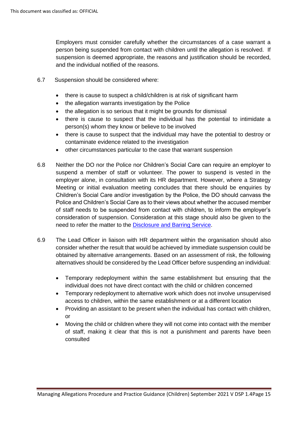Employers must consider carefully whether the circumstances of a case warrant a person being suspended from contact with children until the allegation is resolved. If suspension is deemed appropriate, the reasons and justification should be recorded, and the individual notified of the reasons.

- 6.7 Suspension should be considered where:
	- there is cause to suspect a child/children is at risk of significant harm
	- the allegation warrants investigation by the Police
	- the allegation is so serious that it might be grounds for dismissal
	- there is cause to suspect that the individual has the potential to intimidate a person(s) whom they know or believe to be involved
	- there is cause to suspect that the individual may have the potential to destroy or contaminate evidence related to the investigation
	- other circumstances particular to the case that warrant suspension
- 6.8 Neither the DO nor the Police nor Children's Social Care can require an employer to suspend a member of staff or volunteer. The power to suspend is vested in the employer alone, in consultation with its HR department. However, where a Strategy Meeting or initial evaluation meeting concludes that there should be enquiries by Children's Social Care and/or investigation by the Police, the DO should canvass the Police and Children's Social Care as to their views about whether the accused member of staff needs to be suspended from contact with children, to inform the employer's consideration of suspension. Consideration at this stage should also be given to the need to refer the matter to the [Disclosure and Barring Service.](https://www.gov.uk/government/organisations/disclosure-and-barring-service)
- 6.9 The Lead Officer in liaison with HR department within the organisation should also consider whether the result that would be achieved by immediate suspension could be obtained by alternative arrangements. Based on an assessment of risk, the following alternatives should be considered by the Lead Officer before suspending an individual:
	- Temporary redeployment within the same establishment but ensuring that the individual does not have direct contact with the child or children concerned
	- Temporary redeployment to alternative work which does not involve unsupervised access to children, within the same establishment or at a different location
	- Providing an assistant to be present when the individual has contact with children, or
	- Moving the child or children where they will not come into contact with the member of staff, making it clear that this is not a punishment and parents have been consulted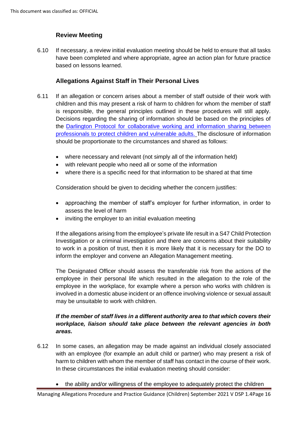# **Review Meeting**

6.10 If necessary, a review initial evaluation meeting should be held to ensure that all tasks have been completed and where appropriate, agree an action plan for future practice based on lessons learned.

#### **Allegations Against Staff in Their Personal Lives**

- 6.11 If an allegation or concern arises about a member of staff outside of their work with children and this may present a risk of harm to children for whom the member of staff is responsible, the general principles outlined in these procedures will still apply. Decisions regarding the sharing of information should be based on the principles of the [Darlington Protocol for collaborative working and information sharing between](https://www.darlington-safeguarding-partnership.co.uk/professionals/multi-agency-safeguarding-child-protection-procedures/)  [professionals to protect children and vulnerable adults.](https://www.darlington-safeguarding-partnership.co.uk/professionals/multi-agency-safeguarding-child-protection-procedures/) The disclosure of information should be proportionate to the circumstances and shared as follows:
	- where necessary and relevant (not simply all of the information held)
	- with relevant people who need all or some of the information
	- where there is a specific need for that information to be shared at that time

Consideration should be given to deciding whether the concern justifies:

- approaching the member of staff's employer for further information, in order to assess the level of harm
- inviting the employer to an initial evaluation meeting

If the allegations arising from the employee's private life result in a S47 Child Protection Investigation or a criminal investigation and there are concerns about their suitability to work in a position of trust, then it is more likely that it is necessary for the DO to inform the employer and convene an Allegation Management meeting.

The Designated Officer should assess the transferable risk from the actions of the employee in their personal life which resulted in the allegation to the role of the employee in the workplace, for example where a person who works with children is involved in a domestic abuse incident or an offence involving violence or sexual assault may be unsuitable to work with children.

#### *If the member of staff lives in a different authority area to that which covers their workplace, liaison should take place between the relevant agencies in both areas.*

- 6.12 In some cases, an allegation may be made against an individual closely associated with an employee (for example an adult child or partner) who may present a risk of harm to children with whom the member of staff has contact in the course of their work. In these circumstances the initial evaluation meeting should consider:
	- the ability and/or willingness of the employee to adequately protect the children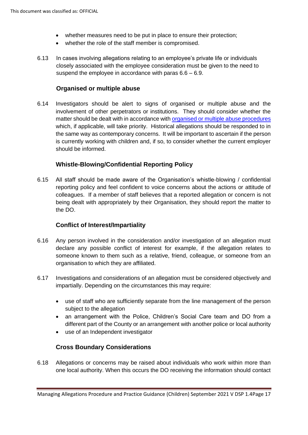- whether measures need to be put in place to ensure their protection;
- whether the role of the staff member is compromised.
- 6.13 In cases involving allegations relating to an employee's private life or individuals closely associated with the employee consideration must be given to the need to suspend the employee in accordance with paras 6.6 – 6.9.

#### **Organised or multiple abuse**

6.14 Investigators should be alert to signs of organised or multiple abuse and the involvement of other perpetrators or institutions. They should consider whether the matter should be dealt with in accordance with [organised or multiple abuse](https://www.darlington-safeguarding-partnership.co.uk/professionals/multi-agency-practice-guidance/) procedures which, if applicable, will take priority. Historical allegations should be responded to in the same way as contemporary concerns. It will be important to ascertain if the person is currently working with children and, if so, to consider whether the current employer should be informed.

#### **Whistle-Blowing/Confidential Reporting Policy**

6.15 All staff should be made aware of the Organisation's whistle-blowing / confidential reporting policy and feel confident to voice concerns about the actions or attitude of colleagues. If a member of staff believes that a reported allegation or concern is not being dealt with appropriately by their Organisation, they should report the matter to the DO.

#### **Conflict of Interest/Impartiality**

- 6.16 Any person involved in the consideration and/or investigation of an allegation must declare any possible conflict of interest for example, if the allegation relates to someone known to them such as a relative, friend, colleague, or someone from an organisation to which they are affiliated.
- 6.17 Investigations and considerations of an allegation must be considered objectively and impartially. Depending on the circumstances this may require:
	- use of staff who are sufficiently separate from the line management of the person subject to the allegation
	- an arrangement with the Police, Children's Social Care team and DO from a different part of the County or an arrangement with another police or local authority
	- use of an Independent investigator

#### **Cross Boundary Considerations**

6.18 Allegations or concerns may be raised about individuals who work within more than one local authority. When this occurs the DO receiving the information should contact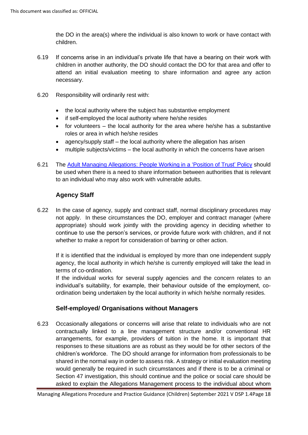the DO in the area(s) where the individual is also known to work or have contact with children.

- 6.19 If concerns arise in an individual's private life that have a bearing on their work with children in another authority, the DO should contact the DO for that area and offer to attend an initial evaluation meeting to share information and agree any action necessary.
- 6.20 Responsibility will ordinarily rest with:
	- the local authority where the subject has substantive employment
	- if self-employed the local authority where he/she resides
	- for volunteers the local authority for the area where he/she has a substantive roles or area in which he/she resides
	- agency/supply staff the local authority where the allegation has arisen
	- multiple subjects/victims the local authority in which the concerns have arisen
- 6.21 The [Adult Managing Allegations: People Working in a 'Position of Trust' Policy](https://www.darlington-safeguarding-partnership.co.uk/professionals/managing-allegations/) should be used when there is a need to share information between authorities that is relevant to an individual who may also work with vulnerable adults.

#### **Agency Staff**

6.22 In the case of agency, supply and contract staff, normal disciplinary procedures may not apply. In these circumstances the DO, employer and contract manager (where appropriate) should work jointly with the providing agency in deciding whether to continue to use the person's services, or provide future work with children, and if not whether to make a report for consideration of barring or other action.

If it is identified that the individual is employed by more than one independent supply agency, the local authority in which he/she is currently employed will take the lead in terms of co-ordination.

If the individual works for several supply agencies and the concern relates to an individual's suitability, for example, their behaviour outside of the employment, coordination being undertaken by the local authority in which he/she normally resides.

#### **Self-employed/ Organisations without Managers**

6.23 Occasionally allegations or concerns will arise that relate to individuals who are not contractually linked to a line management structure and/or conventional HR arrangements, for example, providers of tuition in the home. It is important that responses to these situations are as robust as they would be for other sectors of the children's workforce. The DO should arrange for information from professionals to be shared in the normal way in order to assess risk. A strategy or initial evaluation meeting would generally be required in such circumstances and if there is to be a criminal or Section 47 investigation, this should continue and the police or social care should be asked to explain the Allegations Management process to the individual about whom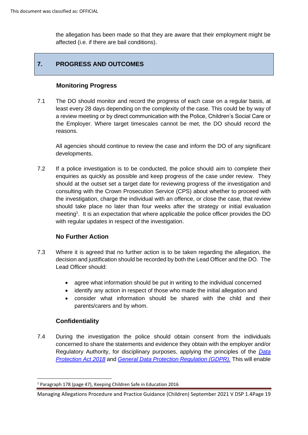the allegation has been made so that they are aware that their employment might be affected (i.e. if there are bail conditions).

# **7. PROGRESS AND OUTCOMES**

#### **Monitoring Progress**

7.1 The DO should monitor and record the progress of each case on a regular basis, at least every 28 days depending on the complexity of the case. This could be by way of a review meeting or by direct communication with the Police, Children's Social Care or the Employer. Where target timescales cannot be met, the DO should record the reasons.

All agencies should continue to review the case and inform the DO of any significant developments.

7.2 If a police investigation is to be conducted, the police should aim to complete their enquiries as quickly as possible and keep progress of the case under review. They should at the outset set a target date for reviewing progress of the investigation and consulting with the Crown Prosecution Service (CPS) about whether to proceed with the investigation, charge the individual with an offence, or close the case, that review should take place no later than four weeks after the strategy or initial evaluation meeting<sup>1</sup>. It is an expectation that where applicable the police officer provides the DO with regular updates in respect of the investigation.

#### **No Further Action**

- 7.3 Where it is agreed that no further action is to be taken regarding the allegation, the decision and justification should be recorded by both the Lead Officer and the DO. The Lead Officer should:
	- agree what information should be put in writing to the individual concerned
	- identify any action in respect of those who made the initial allegation and
	- consider what information should be shared with the child and their parents/carers and by whom.

# **Confidentiality**

7.4 During the investigation the police should obtain consent from the individuals concerned to share the statements and evidence they obtain with the employer and/or Regulatory Authority, for disciplinary purposes, applying the principles of the *[Data](http://www.legislation.gov.uk/ukpga/2018/12/contents/enacted)  [Protection Act 2018](http://www.legislation.gov.uk/ukpga/2018/12/contents/enacted)* and *[General Data Protection Regulation \(GDPR\).](https://assets.publishing.service.gov.uk/government/uploads/system/uploads/attachment_data/file/711097/guide-to-the-general-data-protection-regulation-gdpr-1-0.pdf)* This will enable

<sup>1</sup> Paragraph 178 (page 47), Keeping Children Safe in Education 2016

Managing Allegations Procedure and Practice Guidance (Children) September 2021 V DSP 1.4Page 19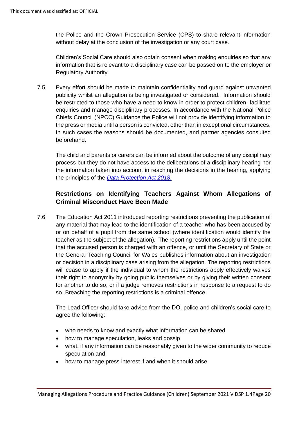the Police and the Crown Prosecution Service (CPS) to share relevant information without delay at the conclusion of the investigation or any court case.

Children's Social Care should also obtain consent when making enquiries so that any information that is relevant to a disciplinary case can be passed on to the employer or Regulatory Authority.

7.5 Every effort should be made to maintain confidentiality and guard against unwanted publicity whilst an allegation is being investigated or considered. Information should be restricted to those who have a need to know in order to protect children, facilitate enquiries and manage disciplinary processes. In accordance with the National Police Chiefs Council (NPCC) Guidance the Police will not provide identifying information to the press or media until a person is convicted, other than in exceptional circumstances. In such cases the reasons should be documented, and partner agencies consulted beforehand.

The child and parents or carers can be informed about the outcome of any disciplinary process but they do not have access to the deliberations of a disciplinary hearing nor the information taken into account in reaching the decisions in the hearing, applying the principles of the *[Data Protection Act 2018](http://www.legislation.gov.uk/ukpga/2018/12/contents/enacted)*.

# **Restrictions on Identifying Teachers Against Whom Allegations of Criminal Misconduct Have Been Made**

7.6 The Education Act 2011 introduced reporting restrictions preventing the publication of any material that may lead to the identification of a teacher who has been accused by or on behalf of a pupil from the same school (where identification would identify the teacher as the subject of the allegation). The reporting restrictions apply until the point that the accused person is charged with an offence, or until the Secretary of State or the General Teaching Council for Wales publishes information about an investigation or decision in a disciplinary case arising from the allegation. The reporting restrictions will cease to apply if the individual to whom the restrictions apply effectively waives their right to anonymity by going public themselves or by giving their written consent for another to do so, or if a judge removes restrictions in response to a request to do so. Breaching the reporting restrictions is a criminal offence.

The Lead Officer should take advice from the DO, police and children's social care to agree the following:

- who needs to know and exactly what information can be shared
- how to manage speculation, leaks and gossip
- what, if any information can be reasonably given to the wider community to reduce speculation and
- how to manage press interest if and when it should arise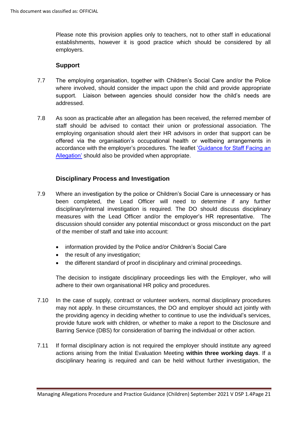Please note this provision applies only to teachers, not to other staff in educational establishments, however it is good practice which should be considered by all employers.

#### **Support**

- 7.7 The employing organisation, together with Children's Social Care and/or the Police where involved, should consider the impact upon the child and provide appropriate support. Liaison between agencies should consider how the child's needs are addressed.
- 7.8 As soon as practicable after an allegation has been received, the referred member of staff should be advised to contact their union or professional association. The employing organisation should alert their HR advisors in order that support can be offered via the organisation's occupational health or wellbeing arrangements in accordance with the employer's procedures. The leaflet ['Guidance for Staff Facing an](https://www.darlington-safeguarding-partnership.co.uk/professionals/managing-allegations/)  [Allegation'](https://www.darlington-safeguarding-partnership.co.uk/professionals/managing-allegations/) should also be provided when appropriate.

#### **Disciplinary Process and Investigation**

- 7.9 Where an investigation by the police or Children's Social Care is unnecessary or has been completed, the Lead Officer will need to determine if any further disciplinary/internal investigation is required. The DO should discuss disciplinary measures with the Lead Officer and/or the employer's HR representative. The discussion should consider any potential misconduct or gross misconduct on the part of the member of staff and take into account:
	- information provided by the Police and/or Children's Social Care
	- the result of any investigation;
	- the different standard of proof in disciplinary and criminal proceedings.

The decision to instigate disciplinary proceedings lies with the Employer, who will adhere to their own organisational HR policy and procedures.

- 7.10 In the case of supply, contract or volunteer workers, normal disciplinary procedures may not apply. In these circumstances, the DO and employer should act jointly with the providing agency in deciding whether to continue to use the individual's services, provide future work with children, or whether to make a report to the Disclosure and Barring Service (DBS) for consideration of barring the individual or other action.
- 7.11 If formal disciplinary action is not required the employer should institute any agreed actions arising from the Initial Evaluation Meeting **within three working days**. If a disciplinary hearing is required and can be held without further investigation, the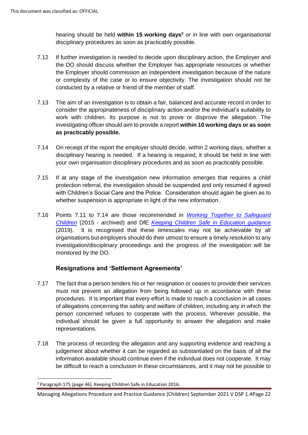hearing should be held **within 15 working days<sup>2</sup>** or in line with own organisational disciplinary procedures as soon as practicably possible.

- 7.12 If further investigation is needed to decide upon disciplinary action, the Employer and the DO should discuss whether the Employer has appropriate resources or whether the Employer should commission an independent investigation because of the nature or complexity of the case or to ensure objectivity. The investigation should not be conducted by a relative or friend of the member of staff.
- 7.13 The aim of an investigation is to obtain a fair, balanced and accurate record in order to consider the appropriateness of disciplinary action and/or the individual's suitability to work with children. Its purpose is not to prove or disprove the allegation. The investigating officer should aim to provide a report **within 10 working days or as soon as practicably possible.**
- 7.14 On receipt of the report the employer should decide, within 2 working days, whether a disciplinary hearing is needed. If a hearing is required, it should be held in line with your own organisation disciplinary procedures and as soon as practicably possible.
- 7.15 If at any stage of the investigation new information emerges that requires a child protection referral, the investigation should be suspended and only resumed if agreed with Children's Social Care and the Police. Consideration should again be given as to whether suspension is appropriate in light of the new information.
- 7.16 Points 7.11 to 7.14 are those recommended in *[Working Together to Safeguard](https://www.gov.uk/government/uploads/system/uploads/attachment_data/file/592101/Working_Together_to_Safeguard_Children_20170213.pdf)  [Children](https://www.gov.uk/government/uploads/system/uploads/attachment_data/file/592101/Working_Together_to_Safeguard_Children_20170213.pdf)* (2015 - archived) and DfE *[Keeping Children Safe in Education guidance](https://www.gov.uk/government/publications/keeping-children-safe-in-education--2)* (2019). It is recognised that these timescales may not be achievable by all organisations but employers should do their utmost to ensure a timely resolution to any investigation/disciplinary proceedings and the progress of the investigation will be monitored by the DO.

#### **Resignations and 'Settlement Agreements'**

- 7.17 The fact that a person tenders his or her resignation or ceases to provide their services must not prevent an allegation from being followed up in accordance with these procedures. It is important that every effort is made to reach a conclusion in all cases of allegations concerning the safety and welfare of children, including any in which the person concerned refuses to cooperate with the process. Wherever possible, the individual should be given a full opportunity to answer the allegation and make representations.
- 7.18 The process of recording the allegation and any supporting evidence and reaching a judgement about whether it can be regarded as substantiated on the basis of all the information available should continue even if the individual does not cooperate. It may be difficult to reach a conclusion in these circumstances, and it may not be possible to

<sup>2</sup> Paragraph 175 (page 46). Keeping Children Safe in Education 2016.

Managing Allegations Procedure and Practice Guidance (Children) September 2021 V DSP 1.4Page 22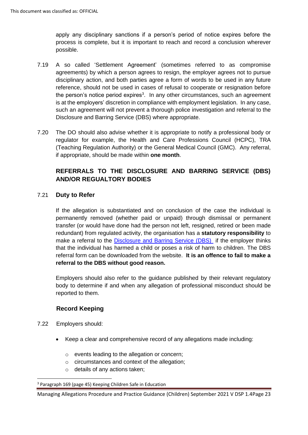apply any disciplinary sanctions if a person's period of notice expires before the process is complete, but it is important to reach and record a conclusion wherever possible.

- 7.19 A so called 'Settlement Agreement' (sometimes referred to as compromise agreements) by which a person agrees to resign, the employer agrees not to pursue disciplinary action, and both parties agree a form of words to be used in any future reference, should not be used in cases of refusal to cooperate or resignation before the person's notice period expires<sup>3</sup>. In any other circumstances, such an agreement is at the employers' discretion in compliance with employment legislation. In any case, such an agreement will not prevent a thorough police investigation and referral to the Disclosure and Barring Service (DBS) where appropriate.
- 7.20 The DO should also advise whether it is appropriate to notify a professional body or regulator for example, the Health and Care Professions Council (HCPC), TRA (Teaching Regulation Authority) or the General Medical Council (GMC). Any referral, if appropriate, should be made within **one month**.

# **REFERRALS TO THE DISCLOSURE AND BARRING SERVICE (DBS) AND/OR REGUALTORY BODIES**

#### 7.21 **Duty to Refer**

If the allegation is substantiated and on conclusion of the case the individual is permanently removed (whether paid or unpaid) through dismissal or permanent transfer (or would have done had the person not left, resigned, retired or been made redundant) from regulated activity, the organisation has a **statutory responsibility** to make a referral to the [Disclosure and Barring Service](https://www.gov.uk/government/organisations/disclosure-and-barring-service) (DBS) if the employer thinks that the individual has harmed a child or poses a risk of harm to children. The DBS referral form can be downloaded from the website. **It is an offence to fail to make a referral to the DBS without good reason.** 

Employers should also refer to the guidance published by their relevant regulatory body to determine if and when any allegation of professional misconduct should be reported to them.

#### **Record Keeping**

- 7.22Employers should:
	- Keep a clear and comprehensive record of any allegations made including:
		- o events leading to the allegation or concern;
		- o circumstances and context of the allegation;
		- o details of any actions taken;

<sup>3</sup> Paragraph 169 (page 45) Keeping Children Safe in Education

Managing Allegations Procedure and Practice Guidance (Children) September 2021 V DSP 1.4Page 23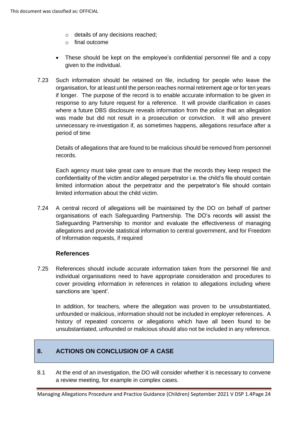- o details of any decisions reached;
- o final outcome
- These should be kept on the employee's confidential personnel file and a copy given to the individual.
- 7.23 Such information should be retained on file, including for people who leave the organisation, for at least until the person reaches normal retirement age or for ten years if longer. The purpose of the record is to enable accurate information to be given in response to any future request for a reference. It will provide clarification in cases where a future DBS disclosure reveals information from the police that an allegation was made but did not result in a prosecution or conviction. It will also prevent unnecessary re-investigation if, as sometimes happens, allegations resurface after a period of time

Details of allegations that are found to be malicious should be removed from personnel records.

Each agency must take great care to ensure that the records they keep respect the confidentiality of the victim and/or alleged perpetrator i.e. the child's file should contain limited information about the perpetrator and the perpetrator's file should contain limited information about the child victim.

7.24 A central record of allegations will be maintained by the DO on behalf of partner organisations of each Safeguarding Partnership. The DO's records will assist the Safeguarding Partnership to monitor and evaluate the effectiveness of managing allegations and provide statistical information to central government, and for Freedom of Information requests, if required

#### **References**

7.25 References should include accurate information taken from the personnel file and individual organisations need to have appropriate consideration and procedures to cover providing information in references in relation to allegations including where sanctions are 'spent'.

In addition, for teachers, where the allegation was proven to be unsubstantiated, unfounded or malicious, information should not be included in employer references. A history of repeated concerns or allegations which have all been found to be unsubstantiated, unfounded or malicious should also not be included in any reference.

# **8. ACTIONS ON CONCLUSION OF A CASE**

8.1 At the end of an investigation, the DO will consider whether it is necessary to convene a review meeting, for example in complex cases.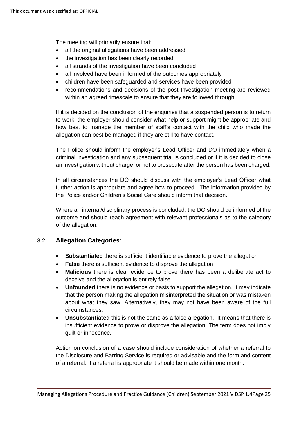The meeting will primarily ensure that:

- all the original allegations have been addressed
- the investigation has been clearly recorded
- all strands of the investigation have been concluded
- all involved have been informed of the outcomes appropriately
- children have been safeguarded and services have been provided
- recommendations and decisions of the post Investigation meeting are reviewed within an agreed timescale to ensure that they are followed through.

If it is decided on the conclusion of the enquiries that a suspended person is to return to work, the employer should consider what help or support might be appropriate and how best to manage the member of staff's contact with the child who made the allegation can best be managed if they are still to have contact.

The Police should inform the employer's Lead Officer and DO immediately when a criminal investigation and any subsequent trial is concluded or if it is decided to close an investigation without charge, or not to prosecute after the person has been charged.

In all circumstances the DO should discuss with the employer's Lead Officer what further action is appropriate and agree how to proceed. The information provided by the Police and/or Children's Social Care should inform that decision.

Where an internal/disciplinary process is concluded, the DO should be informed of the outcome and should reach agreement with relevant professionals as to the category of the allegation.

#### 8.2 **Allegation Categories:**

- **Substantiated** there is sufficient identifiable evidence to prove the allegation
- **False** there is sufficient evidence to disprove the allegation
- **Malicious** there is clear evidence to prove there has been a deliberate act to deceive and the allegation is entirely false
- **Unfounded** there is no evidence or basis to support the allegation. It may indicate that the person making the allegation misinterpreted the situation or was mistaken about what they saw. Alternatively, they may not have been aware of the full circumstances.
- **Unsubstantiated** this is not the same as a false allegation. It means that there is insufficient evidence to prove or disprove the allegation. The term does not imply guilt or innocence.

Action on conclusion of a case should include consideration of whether a referral to the Disclosure and Barring Service is required or advisable and the form and content of a referral. If a referral is appropriate it should be made within one month.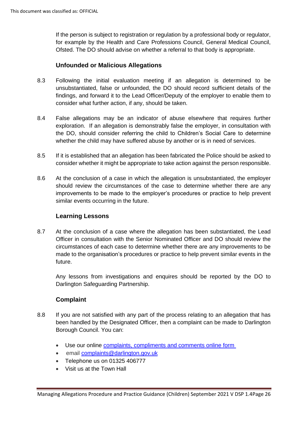If the person is subject to registration or regulation by a professional body or regulator, for example by the Health and Care Professions Council, General Medical Council, Ofsted. The DO should advise on whether a referral to that body is appropriate.

#### **Unfounded or Malicious Allegations**

- 8.3 Following the initial evaluation meeting if an allegation is determined to be unsubstantiated, false or unfounded, the DO should record sufficient details of the findings, and forward it to the Lead Officer/Deputy of the employer to enable them to consider what further action, if any, should be taken.
- 8.4 False allegations may be an indicator of abuse elsewhere that requires further exploration. If an allegation is demonstrably false the employer, in consultation with the DO, should consider referring the child to Children's Social Care to determine whether the child may have suffered abuse by another or is in need of services.
- 8.5 If it is established that an allegation has been fabricated the Police should be asked to consider whether it might be appropriate to take action against the person responsible.
- 8.6 At the conclusion of a case in which the allegation is unsubstantiated, the employer should review the circumstances of the case to determine whether there are any improvements to be made to the employer's procedures or practice to help prevent similar events occurring in the future.

#### **Learning Lessons**

8.7 At the conclusion of a case where the allegation has been substantiated, the Lead Officer in consultation with the Senior Nominated Officer and DO should review the circumstances of each case to determine whether there are any improvements to be made to the organisation's procedures or practice to help prevent similar events in the future.

Any lessons from investigations and enquires should be reported by the DO to Darlington Safeguarding Partnership.

#### **Complaint**

- 8.8 If you are not satisfied with any part of the process relating to an allegation that has been handled by the Designated Officer, then a complaint can be made to Darlington Borough Council. You can:
	- Use our online [complaints, compliments and comments online form](https://selfserve.darlington.gov.uk/form/auto/complaints_compliments)
	- email [complaints@darlington.gov.uk](mailto:complaints@darlington.gov.uk)
	- Telephone us on 01325 406777
	- Visit us at the Town Hall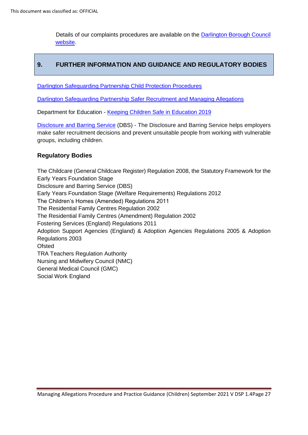Details of our complaints procedures are available on the [Darlington Borough Council](http://www.darlington.gov.uk/your-council/complaints-compliments-and-comments/)  [website.](http://www.darlington.gov.uk/your-council/complaints-compliments-and-comments/)

# **9. FURTHER INFORMATION AND GUIDANCE AND REGULATORY BODIES**

[Darlington Safeguarding Partnership Child Protection Procedures](https://darlington-safeguarding-partnership.co.uk/professionals/multi-agency-safeguarding-child-protection-procedures/)

[Darlington Safeguarding Partnership Safer Recruitment and Managing Allegations](https://www.darlington-safeguarding-partnership.co.uk/professionals/managing-allegations/)

Department for Education - [Keeping Children Safe in Education](https://www.gov.uk/government/publications/keeping-children-safe-in-education--2) 2019

[Disclosure and Barring Service](https://www.gov.uk/government/organisations/disclosure-and-barring-service/about) (DBS) - The Disclosure and Barring Service helps employers make safer recruitment decisions and prevent unsuitable people from working with vulnerable groups, including children.

#### **Regulatory Bodies**

The Childcare (General Childcare Register) Regulation 2008, the Statutory Framework for the Early Years Foundation Stage Disclosure and Barring Service (DBS) Early Years Foundation Stage (Welfare Requirements) Regulations 2012 The Children's Homes (Amended) Regulations 2011 The Residential Family Centres Regulation 2002 The Residential Family Centres (Amendment) Regulation 2002 Fostering Services (England) Regulations 2011 Adoption Support Agencies (England) & Adoption Agencies Regulations 2005 & Adoption Regulations 2003 **Ofsted** TRA Teachers Regulation Authority Nursing and Midwifery Council (NMC) General Medical Council (GMC) Social Work England